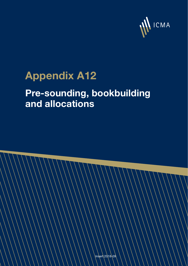

# **Appendix A12**

## **Pre-sounding, bookbuilding and allocations**

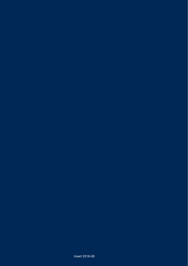Insert 2018-09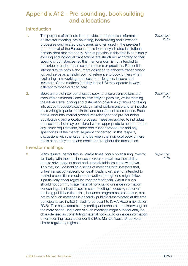### Appendix A12 - Pre-sounding, bookbuilding and allocations

#### Introduction

- 1. The purpose of this note is to provide some practical information on investor meeting, pre-sounding, bookbuilding and allocation processes (and related disclosure), as often used in the prevalent 'pot' context of the European cross-border syndicated institutional primary debt markets today. Market practice in this area is continually evolving and individual transactions are structured according to their specific circumstances, so this memorandum is not intended to prescribe or endorse particular structures or practices. Rather it is intended to be both a document designed to enhance transparency for, and serve as a helpful point of reference to bookrunners when explaining their working practices to, colleagues, issuers and investors. Some markets (notably in the US) may operate in ways different to those outlined here.
- 2. Bookrunners of new bond issues seek to ensure transactions are executed as smoothly and as efficiently as possible, whilst meeting the issuer's size, pricing and distribution objectives (if any) and taking into account possible secondary market performance and an investor base willing to participate in this and subsequent transactions. Each bookrunner has internal procedures relating to the pre-sounding, bookbuilding and allocation process. These are applied to individual transactions, but may be tailored where appropriate to accommodate any issuer requirements, other bookrunner procedures and any specificities of the market segment concerned. In this respect, discussions with the issuer and between the individual bookrunners begin at an early stage and continue throughout the transaction.

#### Investor meetings

3. Many issuers, particularly in volatile times, focus on ensuring investor familiarity with their businesses in order to maximise their ability to take advantage of short and unpredictable issuance windows. This may include holding a series of meetings with investors that, unlike transaction-specific or 'deal' roadshows, are not intended to market a specific immediate transaction (though one might follow if particularly encouraged by investor feedback). Whilst issuers should not communicate material non-public or inside information concerning their businesses in such meetings (focusing rather on outlining published financials, issuance programme prospectus, etc), notice of such meetings is generally publicly disseminated at the time participants are invited (including pursuant to ICMA Recommendation R3.6). This helps address any participant concerns that knowledge of the mere scheduling alone of such meetings might subsequently be characterised as constituting material non-public or inside information of forthcoming issuance under the EU's Market Abuse Directive or similar regulatory regimes.

 *September 2015*

 *September 2015*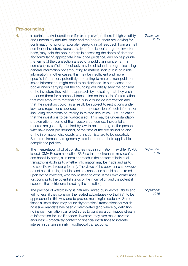#### Pre-sounding

- 4. In certain market conditions (for example where there is high volatility and uncertainty and the issuer and the bookrunners are looking for confirmation of pricing rationale), seeking initial feedback from a small number of investors, representative of the issuer's targeted investor base, may help the bookrunners in assessing the depth of demand and formulating appropriate initial price guidance, and so help guide the terms of the transaction ahead of a public announcement. In some cases, sufficient feedback may be obtained through disclosing general information not amounting to material non-public or inside information. In other cases, this may be insufficient and more specific information, potentially amounting to material non-public or inside information, might need to be disclosed. In such cases, the bookrunners carrying out the sounding will initially seek the consent of the investors they wish to approach by indicating that they wish to sound them for a potential transaction on the basis of information that may amount to material non-public or inside information and that the investors could, as a result, be subject to restrictions under laws and regulations applicable to the possession of such information (including restrictions on trading in related securities) – i.e. indicating that the investor is to be 'wallcrossed'. This may be understandably problematic for some of the investors concerned. Incidentally, records are generally required by law to be kept (e.g. of the persons who have been pre-sounded, of the time of the pre-sounding and of the information disclosed), and insider lists are to be updated. Such requirements are generally also incorporated into applicable compliance policies.
- 5. The interpretation of what constitutes inside information may differ. ICMA issued ICMA Recommendation R3.7 so that bookrunners may confer, and hopefully agree, a uniform approach in the context of individual transactions (both as to whether information may be inside and as to the specific wallcrossing format). The views of the bookrunners however do not constitute legal advice and so cannot and should not be relied upon by the investors, who would need to consult their own compliance functions as to the potential status of the information and the potential scope of the restrictions (including their duration).
- 6. The practice of wallcrossing is naturally limited by investors' ability and willingness (if they consider the related advantages worthwhile)<sup>1</sup> to be approached in this way and to provide meaningful feedback. Some financial institutions may sound 'hypothetical' transactions for which no issuer mandate has been contemplated (and where by definition no inside information can arise) so as to build up a continuous stream of information for use if needed. Investors may also make 'reverse enquiries' – proactively contacting financial institutions to indicate interest in certain similarly hypothetical transactions.

 *September 2015*

 *September 2015*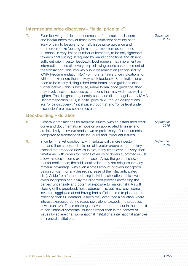#### Intermediate price discovery – "initial price talk"

7. Even following public announcements of transactions, issuers and bookrunners may at times have insufficient certainty as to likely pricing to be able to formally issue price guidance and open orderbooks (bearing in mind that investors expect price guidance, in very limited number of iterations, to be only tightened towards final pricing). If required by market conditions and absent sufficient prior investor feedback, bookrunners may implement an intermediate price discovery step following public announcement of the transaction. This involves public dissemination (recognised by ICMA Recommendation R5.1) of more tentative price indications, on which bookrunners then actively seek feedback. Such indications need to be clearly distinguished from formal price guidance (see further below) – this is because, unlike formal price guidance, they may involve several successive iterations that may widen as well as tighten. The designation generally used (and also recognised by ICMA Recommendation R5.1) is "initial price talk", though designations like "price discovery", "initial price thoughts" and "price level under discussion" are also sometimes used.

#### Bookbuilding – duration

- 8. Generally, transactions for frequent issuers (with an established credit curve and documentation) move on an abbreviated timeline (and are less likely to involve roadshows or preliminary offer documents) compared to transactions for inaugural and infrequent issuers
- 9. In certain market conditions, with substantially more investor demand than supply, submission of investor orders can potentially exceed the proposed new issue size many times over in a very short timeframe, with orders for billions of euros or dollars submitted in just a few minutes in some extreme cases. Aside the general show of market confidence, the additional orders may not bring issuers any material advantage (with even a small amount of oversubscription being sufficient for any desired increase of the initial anticipated size). Aside from further reducing individual allocations, this level of oversubscription can delay the allocation process (extending the parties' uncertainty and potential exposure to market risk). A swift closing of the orderbook helps address this, but may leave some investors aggrieved at not having had sufficient time to place orders reflecting their full demand. Issuers may even face a situation where interest expressed during roadshows alone exceeds the proposed new issue size. These challenges have tended to occur in the context of non-financial corporate issuance rather than in the context of issues by sovereigns, supranational institutions, international agencies or financial institutions.

 *September 2015*

 *September 2015*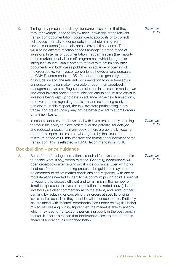- 10. Timing may present a challenge for some investors in that they may, for example, need to review their knowledge of the relevant transaction documentation, obtain credit approvals or to consult colleagues internally to consolidate interest stemming from several sub-funds (potentially across several time zones). There will also be different reaction speeds amongst a broad range of investors. In terms of documentation, frequent issuers (the majority of the market) usually issue off programmes, whilst inaugural or infrequent issuers usually come to market with preliminary offer documents – in both cases published in advance of opening of the orderbooks. For investor convenience however (and pursuant to ICMA Recommendation R5.12), bookrunners generally attach, or include links to, the relevant documentation to or in transaction announcements (or make it available through their orderbook management system). Regular participation in an issuer's roadshows and other investor-facing communication efforts should also assist in investors being kept up to date, in advance of the new transactions, on developments regarding that issuer and so in being ready to participate. In this respect, the few investors participating in any transaction pre-sounding may not be better placed to submit orders on a timely basis.
- 11. In order to address the above, and with investors currently seeming to favour the ability to place orders over the potential for delayed and reduced allocations, many bookrunners are generally keeping orderbooks open, unless otherwise agreed by the issuer, for a minimum period of 60 minutes from the formal announcement of the transaction. This is reflected in ICMA Recommendation R5.10.

#### Bookbuilding – price guidance

12. Some form of pricing information is required for investors to be able to decide what, if any, orders to place. Generally, bookrunners will open orderbooks after issuing initial price guidance. Even with prior feedback from a pre-sounding process, the guidance may need to be amended to reflect market conditions and response, with one or more iterations needed to identify the optimum pricing point. Essential to keeping this process efficient and to minimising the number of iterations (pursuant to investor expectations as noted above), is that investors give clear commentary as to the extent, and limits, of their demand by reducing or cancelling their orders at specific pricing levels and/or deal sizes they consider will be unacceptable. Distinctly, issuers faced with 'inflated' orderbooks (see further below) risk being misled into seeking pricing tighter than the market is able to absorb, which may lead to transactions performing poorly in the post launch market. It is for this reason that bookrunners seek to 'scrub' books ahead of allocation, as described below.

 *September 2015*

 *September 2015*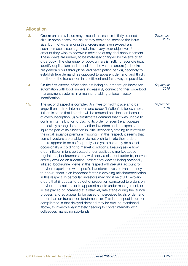#### Allocation

- 13. Orders on a new issue may exceed the issuer's initially planned size. In some cases, the issuer may decide to increase the issue size, but, notwithstanding this, orders may even exceed any such increase. Issuers generally have very clear objectives for the amount they wish to borrow in advance of any deal announcement. These views are unlikely to be materially changed by the size of an orderbook. The challenge for bookrunners is firstly to reconcile (e.g. identify duplication) and consolidate the various orders (as books are generally built through several participating banks), secondly to establish true demand (as opposed to apparent demand) and thirdly to allocate the transaction in as efficient and fair a way as possible.
- 14. On the first aspect, efficiencies are being sought through increased automation with bookrunners increasingly connecting their orderbook management systems in a manner enabling unique investor identification.
- 15. The second aspect is complex. An investor might place an order larger than its true internal demand (order 'inflation') if, for example, it (i) anticipates that its order will be reduced on allocation because of oversubscription, (ii) overestimates demand that it was unable to confirm internally prior to placing its order, or even (iii) anticipates particularly strong demand by other investors and so expects to liquidate part of its allocation in initial secondary trading to crystallise the initial issuance premium ('flipping'). In this respect, it seems that some investors are unable or do not wish to inflate their orders, others appear to do so frequently, and yet others may do so just occasionally according to market conditions. Leaving aside how order inflation might be treated under applicable market abuse regulations, bookrunners may well apply a discount factor to, or even entirely exclude on allocation, orders they view as being potentially inflated (bookrunner views in this respect will *inter alia* account for previous experience with specific investors). Investor transparency to bookrunners is an important factor in avoiding mischaracterisation in this respect. In particular, investors may find it helpful to explain orders that (i) appear to be out of proportion compared to orders on previous transactions or to apparent assets under management, or (ii) are placed or increased at a relatively late stage during the launch process (and so appear to be based on perceived levels of demand rather than on transaction fundamentals). This later aspect is further complicated in that delayed demand may be due, as mentioned above, to investors legitimately needing to confer internally with colleagues managing sub-funds.

 *September 2015*

 *September 2015*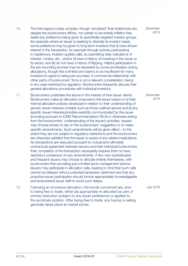- 16. The third aspect is less complex, though 'scrubbed' final orderbooks are, despite the bookrunners efforts, not certain to be entirely inflation free. Aside any preference being given to specifically targeted investor groups (for example where an issuer is seeking to diversify its investor base), some preference may be given to long-term investors that (i) have shown interest in the transaction, for example through actively participating in roadshows, investor update calls, by submitting clear indications of interest / orders, etc., and/or (ii) have a history of investing in the issuer or its sector, and (iii) do not have a history of flipping. Helpful participation in the pre-sounding process may be rewarded by some prioritisation during allocations, though this is limited and seems to be insufficient for many investors to agree to being pre-sounded. A commercial relationship with other parts of bookrunners' firms is not a relevant consideration, being in any case restricted by regulation. Bookrunners frequently discuss their general allocations procedures with individual investors.
- 17. Bookrunners undertake the above in the interest of their issuer clients. Bookrunners make an allocation proposal to the issuer based on (i) their internal allocation policies developed in relation to their understanding of generic issuer interests (notably such as those outlined above) and (ii) any specific issuer interests/priorities explicitly communicated by the issuer (including pursuant to ICMA Recommendation R5.9) or otherwise arising from the bookrunners' understanding of the issuer's activities. Issuers may choose simply to rely on the bookrunners' suggestion or to make specific amendments. Such amendments will be given effect – to the extent they are not subject to regulatory restrictions and the bookrunners are otherwise satisfied that the issuer is aware of any related implications. As transactions are executed pursuant to mutual (and ultimately contractual) agreement between issuers and their individual bookrunners, their completion of the transaction necessarily requires them to have reached a consensus on any amendments. A few very sophisticated and frequent issuers may choose to allocate entirely themselves, with bookrunners then providing just a limited book management service. Issuers may participate in allocation calls, bearing in mind that such calls cannot be delayed without potential transaction detriment and that any proactive issuer participation should involve appropriately knowledgeable and empowered issuer staff to avoid such delays.
- 18 Following an erroneous allocation, the bonds concerned are, prior to being free to trade, either (as appropriate) re-allocated as part of primary execution (subject to any issuer preference) or applied to the syndicate position. After being free to trade, any buying or selling generally takes place at market prices.

 *December 2015*

 *December 2015*

*July 2016*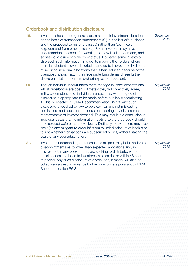#### Orderbook and distribution disclosure

- 19. Investors should, and generally do, make their investment decisions on the basis of transaction 'fundamentals' (i.e. the issuer's business and the proposed terms of the issue) rather than 'technicals' (e.g. demand from other investors). Some investors may have understandable reasons for wanting to know levels of demand, and so seek disclosure of orderbook status. However, some investors also seek such information in order to magnify their orders where there is substantial oversubscription and so to improve the likelihood of securing individual allocations that, albeit reduced because of the oversubscription, match their true underlying demand (see further above on inflation of orders and principles of allocation).
- 20. Though individual bookrunners try to manage investor expectations whilst orderbooks are open, ultimately they will collectively agree, in the circumstances of individual transactions, what degree of disclosure is appropriate to be made before publicly disseminating it. This is reflected in ICMA Recommendation R5.13. Any such disclosure is required by law to be clear, fair and not misleading and issuers and bookrunners focus on ensuring any disclosure is representative of investor demand. This may result in a conclusion in individual cases that no information relating to the orderbook should be disclosed before the book closes. Distinctly, bookrunners may also seek (as one mitigant to order inflation) to limit disclosure of book size to just whether transactions are subscribed or not, without stating the scale of any oversubscription.
- 21. Investors' understanding of transactions ex-post may help moderate disappointments as to lower than expected allocations and, in this respect, many bookrunners are seeking to distribute, where possible, deal statistics to investors via sales desks within 48 hours of pricing. Any such disclosure of distribution, if made, will also be collectively agreed in advance by the bookrunners pursuant to ICMA Recommendation R6.3.

 *September 2015*

 *September 2015*